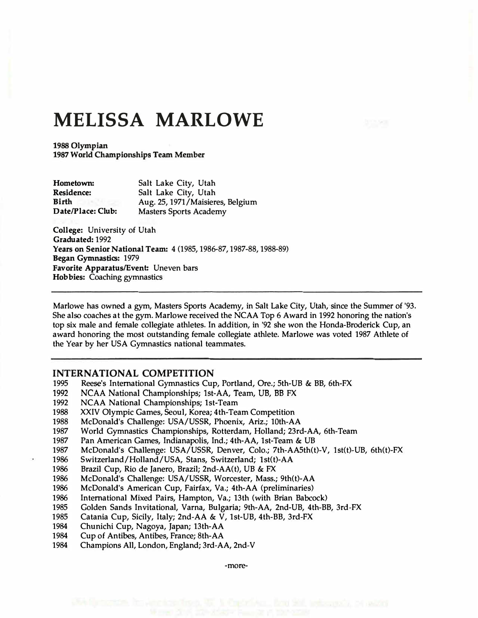## **MELISSA MARLOWE**

1988 Olympian 1987 World Championships Team Member

| Hometown:         | Salt Lake City, Utah             |
|-------------------|----------------------------------|
| <b>Residence:</b> | Salt Lake City, Utah             |
| Birth             | Aug. 25, 1971/Maisieres, Belgium |
| Date/Place: Club: | <b>Masters Sports Academy</b>    |

**College:** University of Utah **Graduated:** 1992 **Years on Senior National Team:** 4 (1985, 1986-87, 1987-88, 1988-89) **Began Gymnastics:** 1979 **Favorite Apparatus/Event:** Uneven bars **Hobbies:** Coaching gymnastics

Marlowe has owned a gym, Masters Sports Academy, in Salt Lake City, Utah, since the Summer of '93. She also coaches at the gym. Marlowe received the NCAA Top 6 Award in 1992 honoring the nation's top six male and female collegiate athletes. In addition, in '92 she won the Honda-Broderick Cup, an award honoring the most outstanding female collegiate athlete. Marlowe was voted 1987 Athlete of the Year by her USA Gymnastics national teammates.

## **INTERNATIONAL COMPETITION**

- 1995 Reese's International Gymnastics Cup, Portland, Ore.; 5th-VB & BB, 6th-FX
- 1992 NCAA National Championships; 1st-AA, Team, UB, BB FX
- 1992 NCAA National Championships; 1st-Team
- 1988 XXIV Olympic Games, Seoul, Korea; 4th-Team Competition<br>1988 McDonald's Challenge: USA/USSR, Phoenix, Ariz.; 10th-A.
- McDonald's Challenge: USA/USSR, Phoenix, Ariz.; 10th-AA
- 1987 World Gymnastics Championships, Rotterdam, Holland; 23rd-AA, 6th-Team
- 1987 Pan American Games, Indianapolis, Ind.; 4th-AA, 1st-Team & UB
- 1987 McDonald's Challenge: USA/USSR, Denver, Colo.; 7th-AA5th(t)-V, lst(t)-UB, 6th(t)-FX
- 1986 Switzerland/Holland/USA, Stans, Switzerland; lst(t)-AA
- 1986 Brazil Cup, Rio de Janero, Brazil; 2nd-AA(t), UB & FX
- 1986 McDonald's Challenge: USA/USSR, Worcester, Mass.; 9th(t)-AA
- 1986 McDonald's American Cup, Fairfax, Va.; 4th-AA (preliminaries)
- 1986 International Mixed Pairs, Hampton, Va.; 13th (with Brian Babcock)
- 1985 Golden Sands Invitational, Varna, Bulgaria; 9th-AA, 2nd-VB, 4th-BB, 3rd-FX
- 1985 Catania Cup, Sicily, Italy; 2nd-AA & V, 1st-VB, 4th-BB, 3rd-FX
- 1984 Chunichi Cup, Nagoya, Japan; 13th-AA<br>1984 Cup of Antibes. Antibes. France: 8th-AA
- Cup of Antibes, Antibes, France; 8th-AA
- 1984 Champions All, London, England; 3rd-AA, 2nd-V

-more-